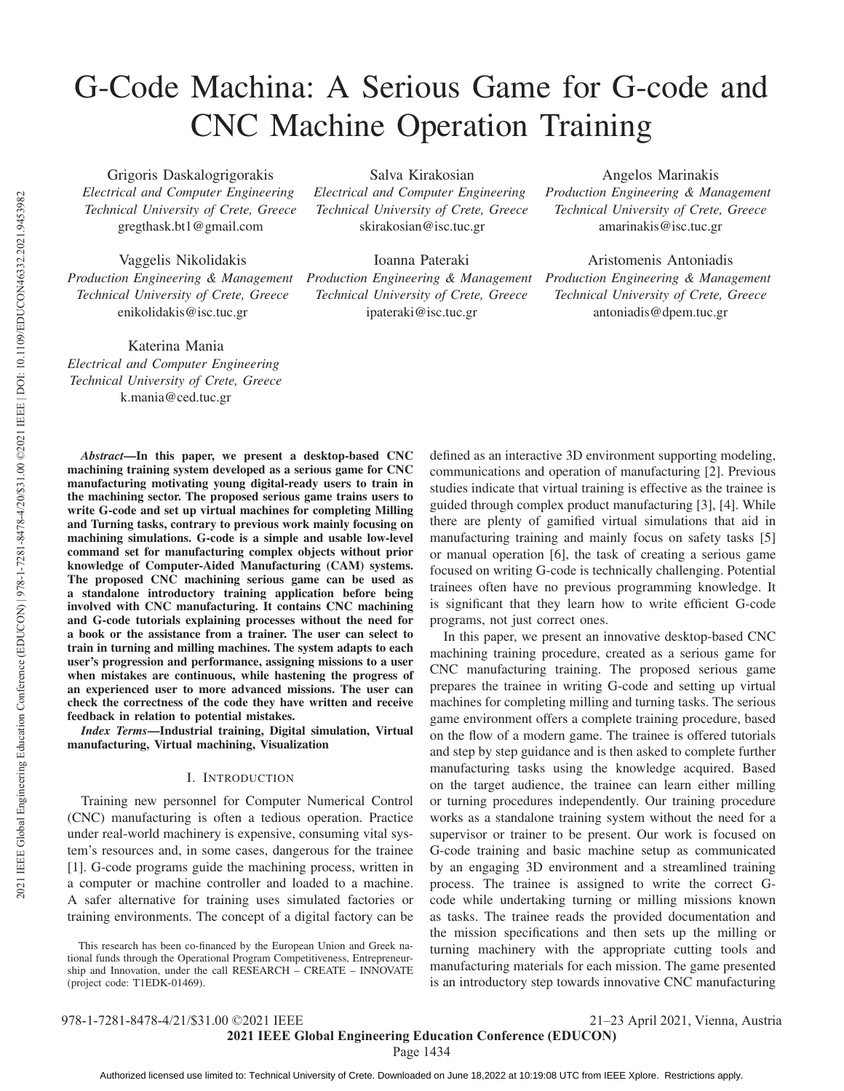# G-Code Machina: A Serious Game for G-code and CNC Machine Operation Training

Grigoris Daskalogrigorakis *Electrical and Computer Engineering Technical University of Crete, Greece* gregthask.bt1@gmail.com

Vaggelis Nikolidakis *Production Engineering & Management Technical University of Crete, Greece* enikolidakis@isc.tuc.gr

Salva Kirakosian

*Electrical and Computer Engineering Technical University of Crete, Greece* skirakosian@isc.tuc.gr

Ioanna Pateraki *Production Engineering & Management Technical University of Crete, Greece* ipateraki@isc.tuc.gr

Angelos Marinakis *Production Engineering & Management Technical University of Crete, Greece* amarinakis@isc.tuc.gr

Aristomenis Antoniadis *Production Engineering & Management Technical University of Crete, Greece* antoniadis@dpem.tuc.gr

Katerina Mania

*Electrical and Computer Engineering Technical University of Crete, Greece* k.mania@ced.tuc.gr

*Abstract*—In this paper, we present a desktop-based CNC machining training system developed as a serious game for CNC manufacturing motivating young digital-ready users to train in the machining sector. The proposed serious game trains users to write G-code and set up virtual machines for completing Milling and Turning tasks, contrary to previous work mainly focusing on machining simulations. G-code is a simple and usable low-level command set for manufacturing complex objects without prior knowledge of Computer-Aided Manufacturing (CAM) systems. The proposed CNC machining serious game can be used as a standalone introductory training application before being involved with CNC manufacturing. It contains CNC machining and G-code tutorials explaining processes without the need for a book or the assistance from a trainer. The user can select to train in turning and milling machines. The system adapts to each user's progression and performance, assigning missions to a user when mistakes are continuous, while hastening the progress of an experienced user to more advanced missions. The user can check the correctness of the code they have written and receive feedback in relation to potential mistakes.

*Index Terms*—Industrial training, Digital simulation, Virtual manufacturing, Virtual machining, Visualization

## I. INTRODUCTION

Training new personnel for Computer Numerical Control (CNC) manufacturing is often a tedious operation. Practice under real-world machinery is expensive, consuming vital system's resources and, in some cases, dangerous for the trainee [1]. G-code programs guide the machining process, written in a computer or machine controller and loaded to a machine. A safer alternative for training uses simulated factories or training environments. The concept of a digital factory can be

defined as an interactive 3D environment supporting modeling, communications and operation of manufacturing [2]. Previous studies indicate that virtual training is effective as the trainee is guided through complex product manufacturing [3], [4]. While there are plenty of gamified virtual simulations that aid in manufacturing training and mainly focus on safety tasks [5] or manual operation [6], the task of creating a serious game focused on writing G-code is technically challenging. Potential trainees often have no previous programming knowledge. It is significant that they learn how to write efficient G-code programs, not just correct ones.

In this paper, we present an innovative desktop-based CNC machining training procedure, created as a serious game for CNC manufacturing training. The proposed serious game prepares the trainee in writing G-code and setting up virtual machines for completing milling and turning tasks. The serious game environment offers a complete training procedure, based on the flow of a modern game. The trainee is offered tutorials and step by step guidance and is then asked to complete further manufacturing tasks using the knowledge acquired. Based on the target audience, the trainee can learn either milling or turning procedures independently. Our training procedure works as a standalone training system without the need for a supervisor or trainer to be present. Our work is focused on G-code training and basic machine setup as communicated by an engaging 3D environment and a streamlined training process. The trainee is assigned to write the correct Gcode while undertaking turning or milling missions known as tasks. The trainee reads the provided documentation and the mission specifications and then sets up the milling or turning machinery with the appropriate cutting tools and manufacturing materials for each mission. The game presented is an introductory step towards innovative CNC manufacturing

This research has been co-financed by the European Union and Greek national funds through the Operational Program Competitiveness, Entrepreneurship and Innovation, under the call RESEARCH – CREATE – INNOVATE (project code: T1EDK-01469).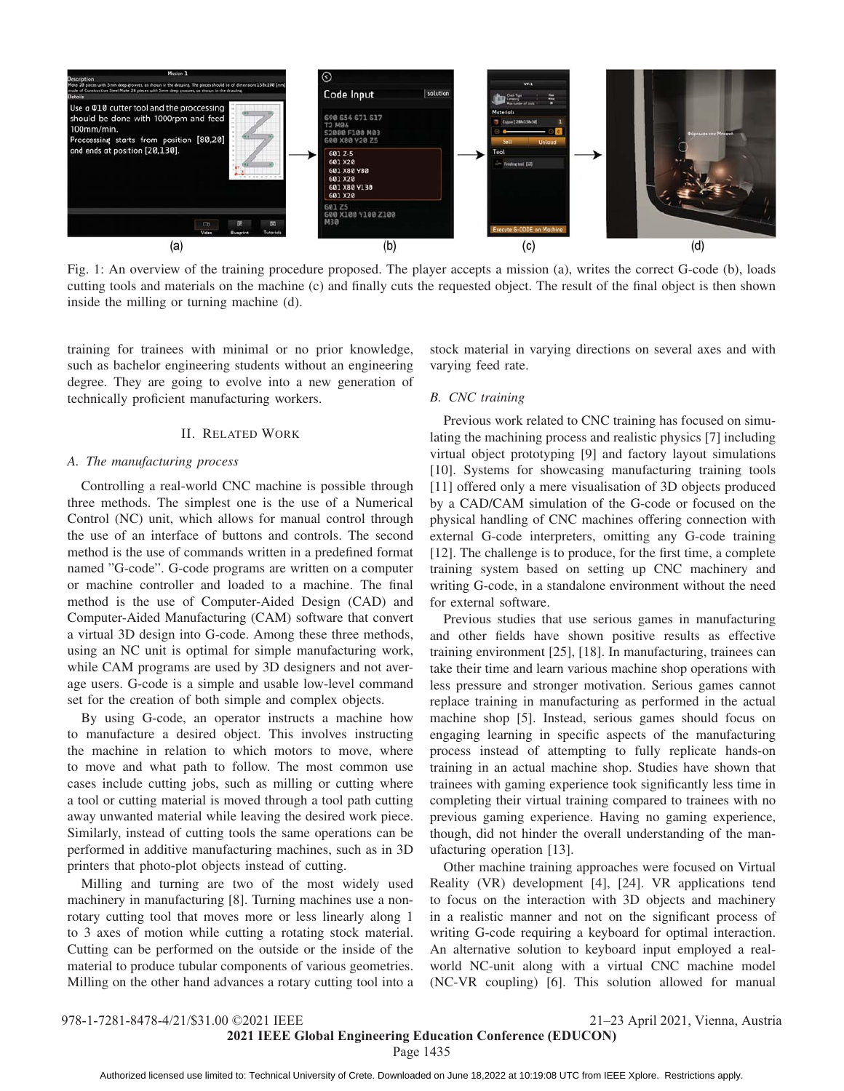

Fig. 1: An overview of the training procedure proposed. The player accepts a mission (a), writes the correct G-code (b), loads cutting tools and materials on the machine (c) and finally cuts the requested object. The result of the final object is then shown inside the milling or turning machine (d).

training for trainees with minimal or no prior knowledge, such as bachelor engineering students without an engineering degree. They are going to evolve into a new generation of technically proficient manufacturing workers.

# II. RELATED WORK

# *A. The manufacturing process*

Controlling a real-world CNC machine is possible through three methods. The simplest one is the use of a Numerical Control (NC) unit, which allows for manual control through the use of an interface of buttons and controls. The second method is the use of commands written in a predefined format named "G-code". G-code programs are written on a computer or machine controller and loaded to a machine. The final method is the use of Computer-Aided Design (CAD) and Computer-Aided Manufacturing (CAM) software that convert a virtual 3D design into G-code. Among these three methods, using an NC unit is optimal for simple manufacturing work, while CAM programs are used by 3D designers and not average users. G-code is a simple and usable low-level command set for the creation of both simple and complex objects.

By using G-code, an operator instructs a machine how to manufacture a desired object. This involves instructing the machine in relation to which motors to move, where to move and what path to follow. The most common use cases include cutting jobs, such as milling or cutting where a tool or cutting material is moved through a tool path cutting away unwanted material while leaving the desired work piece. Similarly, instead of cutting tools the same operations can be performed in additive manufacturing machines, such as in 3D printers that photo-plot objects instead of cutting.

Milling and turning are two of the most widely used machinery in manufacturing [8]. Turning machines use a nonrotary cutting tool that moves more or less linearly along 1 to 3 axes of motion while cutting a rotating stock material. Cutting can be performed on the outside or the inside of the material to produce tubular components of various geometries. Milling on the other hand advances a rotary cutting tool into a stock material in varying directions on several axes and with varying feed rate.

# *B. CNC training*

Previous work related to CNC training has focused on simulating the machining process and realistic physics [7] including virtual object prototyping [9] and factory layout simulations [10]. Systems for showcasing manufacturing training tools [11] offered only a mere visualisation of 3D objects produced by a CAD/CAM simulation of the G-code or focused on the physical handling of CNC machines offering connection with external G-code interpreters, omitting any G-code training [12]. The challenge is to produce, for the first time, a complete training system based on setting up CNC machinery and writing G-code, in a standalone environment without the need for external software.

Previous studies that use serious games in manufacturing and other fields have shown positive results as effective training environment [25], [18]. In manufacturing, trainees can take their time and learn various machine shop operations with less pressure and stronger motivation. Serious games cannot replace training in manufacturing as performed in the actual machine shop [5]. Instead, serious games should focus on engaging learning in specific aspects of the manufacturing process instead of attempting to fully replicate hands-on training in an actual machine shop. Studies have shown that trainees with gaming experience took significantly less time in completing their virtual training compared to trainees with no previous gaming experience. Having no gaming experience, though, did not hinder the overall understanding of the manufacturing operation [13].

Other machine training approaches were focused on Virtual Reality (VR) development [4], [24]. VR applications tend to focus on the interaction with 3D objects and machinery in a realistic manner and not on the significant process of writing G-code requiring a keyboard for optimal interaction. An alternative solution to keyboard input employed a realworld NC-unit along with a virtual CNC machine model (NC-VR coupling) [6]. This solution allowed for manual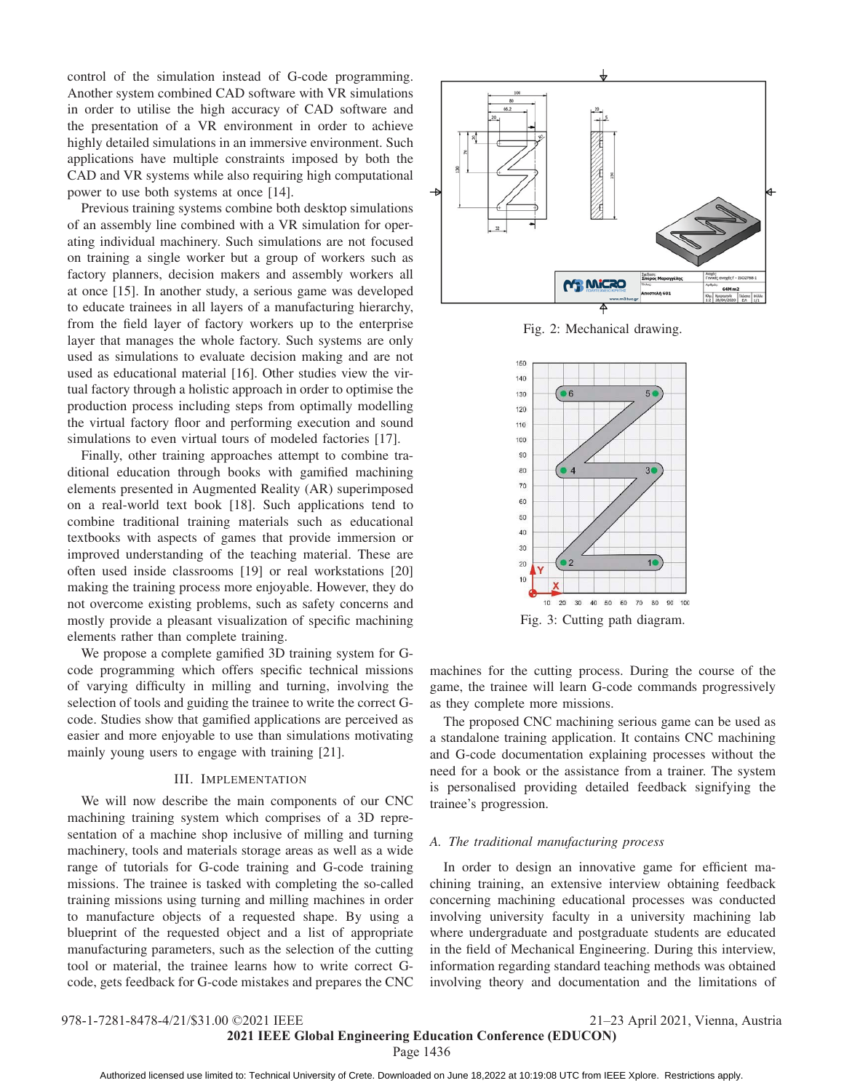control of the simulation instead of G-code programming. Another system combined CAD software with VR simulations in order to utilise the high accuracy of CAD software and the presentation of a VR environment in order to achieve highly detailed simulations in an immersive environment. Such applications have multiple constraints imposed by both the CAD and VR systems while also requiring high computational power to use both systems at once [14].

Previous training systems combine both desktop simulations of an assembly line combined with a VR simulation for operating individual machinery. Such simulations are not focused on training a single worker but a group of workers such as factory planners, decision makers and assembly workers all at once [15]. In another study, a serious game was developed to educate trainees in all layers of a manufacturing hierarchy, from the field layer of factory workers up to the enterprise layer that manages the whole factory. Such systems are only used as simulations to evaluate decision making and are not used as educational material [16]. Other studies view the virtual factory through a holistic approach in order to optimise the production process including steps from optimally modelling the virtual factory floor and performing execution and sound simulations to even virtual tours of modeled factories [17].

Finally, other training approaches attempt to combine traditional education through books with gamified machining elements presented in Augmented Reality (AR) superimposed on a real-world text book [18]. Such applications tend to combine traditional training materials such as educational textbooks with aspects of games that provide immersion or improved understanding of the teaching material. These are often used inside classrooms [19] or real workstations [20] making the training process more enjoyable. However, they do not overcome existing problems, such as safety concerns and mostly provide a pleasant visualization of specific machining elements rather than complete training.

We propose a complete gamified 3D training system for Gcode programming which offers specific technical missions of varying difficulty in milling and turning, involving the selection of tools and guiding the trainee to write the correct Gcode. Studies show that gamified applications are perceived as easier and more enjoyable to use than simulations motivating mainly young users to engage with training [21].

# III. IMPLEMENTATION

We will now describe the main components of our CNC machining training system which comprises of a 3D representation of a machine shop inclusive of milling and turning machinery, tools and materials storage areas as well as a wide range of tutorials for G-code training and G-code training missions. The trainee is tasked with completing the so-called training missions using turning and milling machines in order to manufacture objects of a requested shape. By using a blueprint of the requested object and a list of appropriate manufacturing parameters, such as the selection of the cutting tool or material, the trainee learns how to write correct Gcode, gets feedback for G-code mistakes and prepares the CNC



Fig. 2: Mechanical drawing.



Fig. 3: Cutting path diagram.

machines for the cutting process. During the course of the game, the trainee will learn G-code commands progressively as they complete more missions.

The proposed CNC machining serious game can be used as a standalone training application. It contains CNC machining and G-code documentation explaining processes without the need for a book or the assistance from a trainer. The system is personalised providing detailed feedback signifying the trainee's progression.

#### *A. The traditional manufacturing process*

In order to design an innovative game for efficient machining training, an extensive interview obtaining feedback concerning machining educational processes was conducted involving university faculty in a university machining lab where undergraduate and postgraduate students are educated in the field of Mechanical Engineering. During this interview, information regarding standard teaching methods was obtained involving theory and documentation and the limitations of

2021 IEEE Global Engineering Education Conference (EDUCON)

الله عليه المواجب المواجب Authorized licensed use limited to: Technical University of Crete. Downloaded on June 18,2022 at 10:19:08 UTC from IEEE Xplore. Restrictions apply.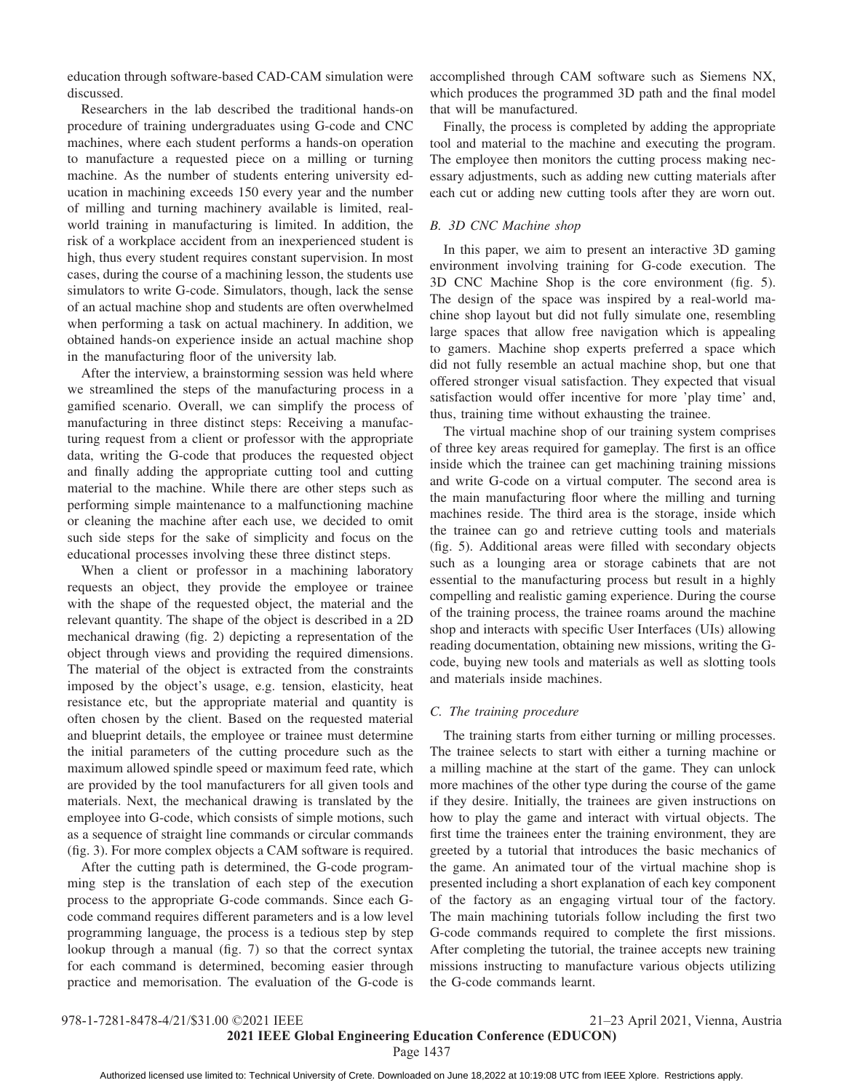education through software-based CAD-CAM simulation were discussed.

Researchers in the lab described the traditional hands-on procedure of training undergraduates using G-code and CNC machines, where each student performs a hands-on operation to manufacture a requested piece on a milling or turning machine. As the number of students entering university education in machining exceeds 150 every year and the number of milling and turning machinery available is limited, realworld training in manufacturing is limited. In addition, the risk of a workplace accident from an inexperienced student is high, thus every student requires constant supervision. In most cases, during the course of a machining lesson, the students use simulators to write G-code. Simulators, though, lack the sense of an actual machine shop and students are often overwhelmed when performing a task on actual machinery. In addition, we obtained hands-on experience inside an actual machine shop in the manufacturing floor of the university lab.

After the interview, a brainstorming session was held where we streamlined the steps of the manufacturing process in a gamified scenario. Overall, we can simplify the process of manufacturing in three distinct steps: Receiving a manufacturing request from a client or professor with the appropriate data, writing the G-code that produces the requested object and finally adding the appropriate cutting tool and cutting material to the machine. While there are other steps such as performing simple maintenance to a malfunctioning machine or cleaning the machine after each use, we decided to omit such side steps for the sake of simplicity and focus on the educational processes involving these three distinct steps.

When a client or professor in a machining laboratory requests an object, they provide the employee or trainee with the shape of the requested object, the material and the relevant quantity. The shape of the object is described in a 2D mechanical drawing (fig. 2) depicting a representation of the object through views and providing the required dimensions. The material of the object is extracted from the constraints imposed by the object's usage, e.g. tension, elasticity, heat resistance etc, but the appropriate material and quantity is often chosen by the client. Based on the requested material and blueprint details, the employee or trainee must determine the initial parameters of the cutting procedure such as the maximum allowed spindle speed or maximum feed rate, which are provided by the tool manufacturers for all given tools and materials. Next, the mechanical drawing is translated by the employee into G-code, which consists of simple motions, such as a sequence of straight line commands or circular commands (fig. 3). For more complex objects a CAM software is required.

After the cutting path is determined, the G-code programming step is the translation of each step of the execution process to the appropriate G-code commands. Since each Gcode command requires different parameters and is a low level programming language, the process is a tedious step by step lookup through a manual (fig. 7) so that the correct syntax for each command is determined, becoming easier through practice and memorisation. The evaluation of the G-code is

accomplished through CAM software such as Siemens NX, which produces the programmed 3D path and the final model that will be manufactured.

Finally, the process is completed by adding the appropriate tool and material to the machine and executing the program. The employee then monitors the cutting process making necessary adjustments, such as adding new cutting materials after each cut or adding new cutting tools after they are worn out.

# *B. 3D CNC Machine shop*

In this paper, we aim to present an interactive 3D gaming environment involving training for G-code execution. The 3D CNC Machine Shop is the core environment (fig. 5). The design of the space was inspired by a real-world machine shop layout but did not fully simulate one, resembling large spaces that allow free navigation which is appealing to gamers. Machine shop experts preferred a space which did not fully resemble an actual machine shop, but one that offered stronger visual satisfaction. They expected that visual satisfaction would offer incentive for more 'play time' and, thus, training time without exhausting the trainee.

The virtual machine shop of our training system comprises of three key areas required for gameplay. The first is an office inside which the trainee can get machining training missions and write G-code on a virtual computer. The second area is the main manufacturing floor where the milling and turning machines reside. The third area is the storage, inside which the trainee can go and retrieve cutting tools and materials (fig. 5). Additional areas were filled with secondary objects such as a lounging area or storage cabinets that are not essential to the manufacturing process but result in a highly compelling and realistic gaming experience. During the course of the training process, the trainee roams around the machine shop and interacts with specific User Interfaces (UIs) allowing reading documentation, obtaining new missions, writing the Gcode, buying new tools and materials as well as slotting tools and materials inside machines.

#### *C. The training procedure*

The training starts from either turning or milling processes. The trainee selects to start with either a turning machine or a milling machine at the start of the game. They can unlock more machines of the other type during the course of the game if they desire. Initially, the trainees are given instructions on how to play the game and interact with virtual objects. The first time the trainees enter the training environment, they are greeted by a tutorial that introduces the basic mechanics of the game. An animated tour of the virtual machine shop is presented including a short explanation of each key component of the factory as an engaging virtual tour of the factory. The main machining tutorials follow including the first two G-code commands required to complete the first missions. After completing the tutorial, the trainee accepts new training missions instructing to manufacture various objects utilizing the G-code commands learnt.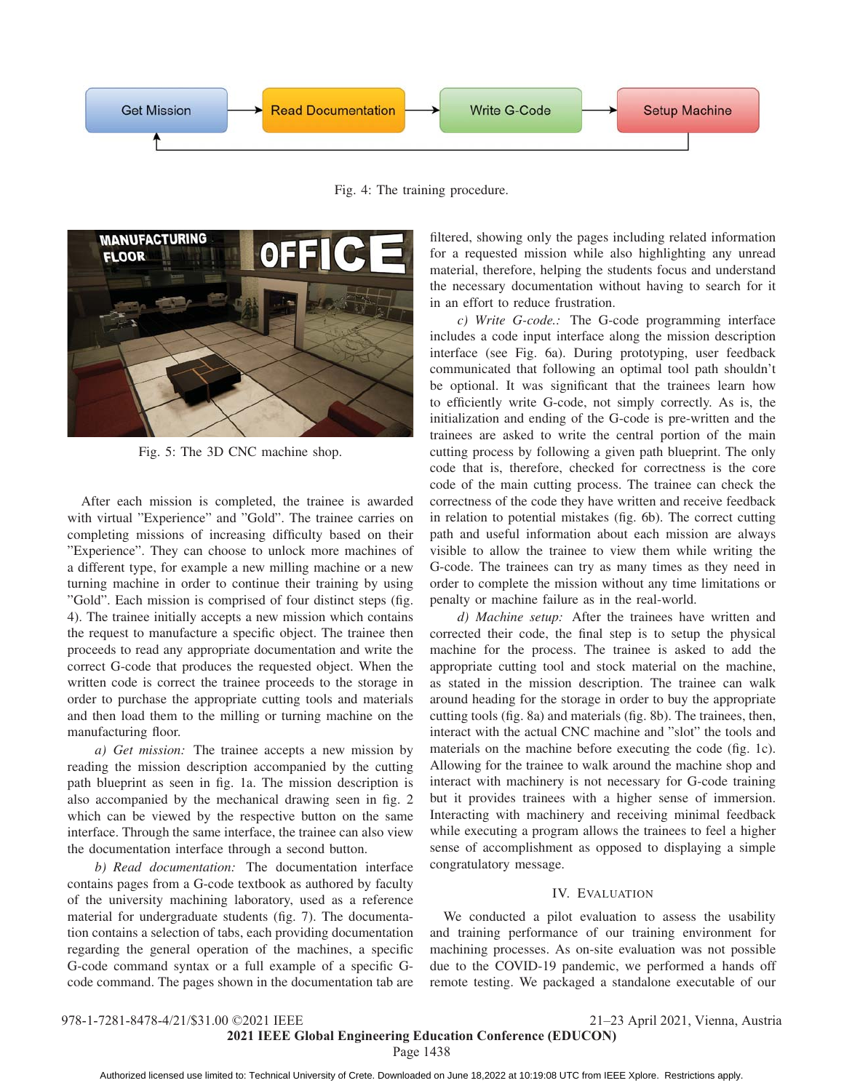

Fig. 4: The training procedure.



Fig. 5: The 3D CNC machine shop.

After each mission is completed, the trainee is awarded with virtual "Experience" and "Gold". The trainee carries on completing missions of increasing difficulty based on their "Experience". They can choose to unlock more machines of a different type, for example a new milling machine or a new turning machine in order to continue their training by using "Gold". Each mission is comprised of four distinct steps (fig. 4). The trainee initially accepts a new mission which contains the request to manufacture a specific object. The trainee then proceeds to read any appropriate documentation and write the correct G-code that produces the requested object. When the written code is correct the trainee proceeds to the storage in order to purchase the appropriate cutting tools and materials and then load them to the milling or turning machine on the manufacturing floor.

*a) Get mission:* The trainee accepts a new mission by reading the mission description accompanied by the cutting path blueprint as seen in fig. 1a. The mission description is also accompanied by the mechanical drawing seen in fig. 2 which can be viewed by the respective button on the same interface. Through the same interface, the trainee can also view the documentation interface through a second button.

*b) Read documentation:* The documentation interface contains pages from a G-code textbook as authored by faculty of the university machining laboratory, used as a reference material for undergraduate students (fig. 7). The documentation contains a selection of tabs, each providing documentation regarding the general operation of the machines, a specific G-code command syntax or a full example of a specific Gcode command. The pages shown in the documentation tab are

filtered, showing only the pages including related information for a requested mission while also highlighting any unread material, therefore, helping the students focus and understand the necessary documentation without having to search for it in an effort to reduce frustration.

*c) Write G-code.:* The G-code programming interface includes a code input interface along the mission description interface (see Fig. 6a). During prototyping, user feedback communicated that following an optimal tool path shouldn't be optional. It was significant that the trainees learn how to efficiently write G-code, not simply correctly. As is, the initialization and ending of the G-code is pre-written and the trainees are asked to write the central portion of the main cutting process by following a given path blueprint. The only code that is, therefore, checked for correctness is the core code of the main cutting process. The trainee can check the correctness of the code they have written and receive feedback in relation to potential mistakes (fig. 6b). The correct cutting path and useful information about each mission are always visible to allow the trainee to view them while writing the G-code. The trainees can try as many times as they need in order to complete the mission without any time limitations or penalty or machine failure as in the real-world.

*d) Machine setup:* After the trainees have written and corrected their code, the final step is to setup the physical machine for the process. The trainee is asked to add the appropriate cutting tool and stock material on the machine, as stated in the mission description. The trainee can walk around heading for the storage in order to buy the appropriate cutting tools (fig. 8a) and materials (fig. 8b). The trainees, then, interact with the actual CNC machine and "slot" the tools and materials on the machine before executing the code (fig. 1c). Allowing for the trainee to walk around the machine shop and interact with machinery is not necessary for G-code training but it provides trainees with a higher sense of immersion. Interacting with machinery and receiving minimal feedback while executing a program allows the trainees to feel a higher sense of accomplishment as opposed to displaying a simple congratulatory message.

#### IV. EVALUATION

We conducted a pilot evaluation to assess the usability and training performance of our training environment for machining processes. As on-site evaluation was not possible due to the COVID-19 pandemic, we performed a hands off remote testing. We packaged a standalone executable of our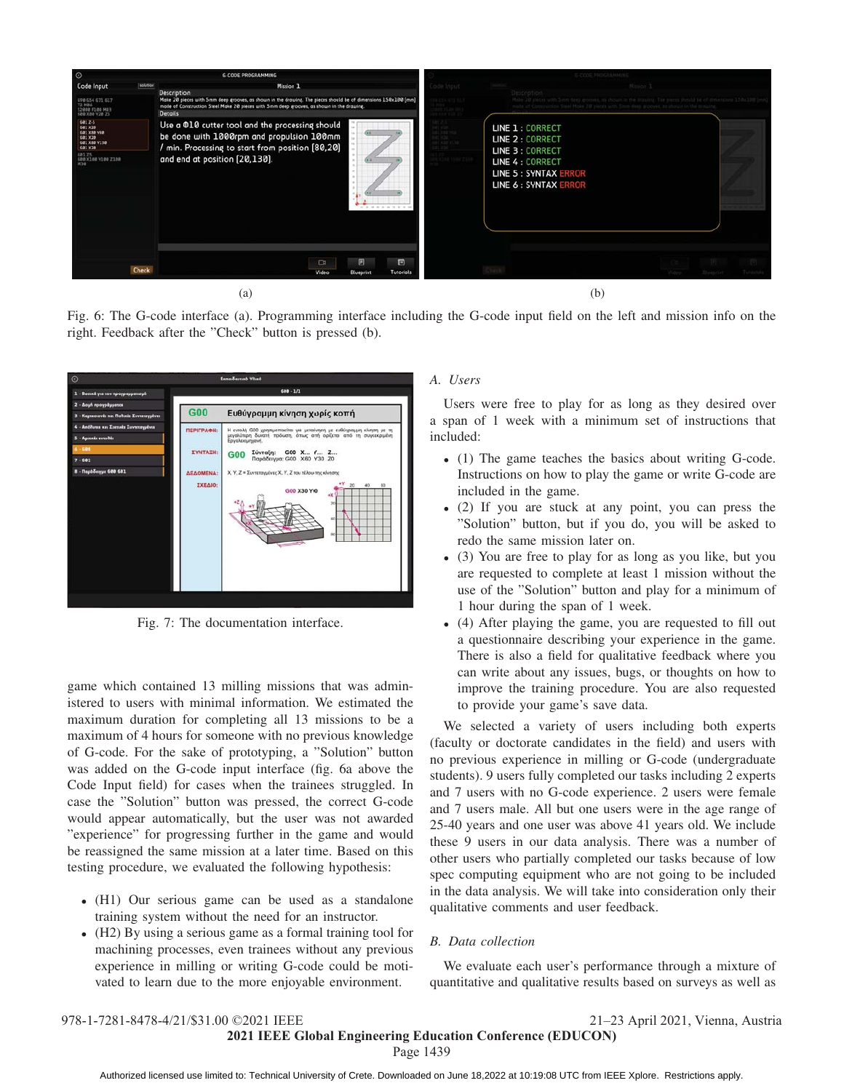

Fig. 6: The G-code interface (a). Programming interface including the G-code input field on the left and mission info on the right. Feedback after the "Check" button is pressed (b).



Fig. 7: The documentation interface.

game which contained 13 milling missions that was administered to users with minimal information. We estimated the maximum duration for completing all 13 missions to be a maximum of 4 hours for someone with no previous knowledge of G-code. For the sake of prototyping, a "Solution" button was added on the G-code input interface (fig. 6a above the Code Input field) for cases when the trainees struggled. In case the "Solution" button was pressed, the correct G-code would appear automatically, but the user was not awarded "experience" for progressing further in the game and would be reassigned the same mission at a later time. Based on this testing procedure, we evaluated the following hypothesis:

- (H1) Our serious game can be used as a standalone training system without the need for an instructor.
- (H2) By using a serious game as a formal training tool for machining processes, even trainees without any previous experience in milling or writing G-code could be motivated to learn due to the more enjoyable environment.

# *A. Users*

Users were free to play for as long as they desired over a span of 1 week with a minimum set of instructions that included:

- (1) The game teaches the basics about writing G-code. Instructions on how to play the game or write G-code are included in the game.
- (2) If you are stuck at any point, you can press the "Solution" button, but if you do, you will be asked to redo the same mission later on.
- (3) You are free to play for as long as you like, but you are requested to complete at least 1 mission without the use of the "Solution" button and play for a minimum of 1 hour during the span of 1 week.
- (4) After playing the game, you are requested to fill out a questionnaire describing your experience in the game. There is also a field for qualitative feedback where you can write about any issues, bugs, or thoughts on how to improve the training procedure. You are also requested to provide your game's save data.

We selected a variety of users including both experts (faculty or doctorate candidates in the field) and users with no previous experience in milling or G-code (undergraduate students). 9 users fully completed our tasks including 2 experts and 7 users with no G-code experience. 2 users were female and 7 users male. All but one users were in the age range of 25-40 years and one user was above 41 years old. We include these 9 users in our data analysis. There was a number of other users who partially completed our tasks because of low spec computing equipment who are not going to be included in the data analysis. We will take into consideration only their qualitative comments and user feedback.

# *B. Data collection*

We evaluate each user's performance through a mixture of quantitative and qualitative results based on surveys as well as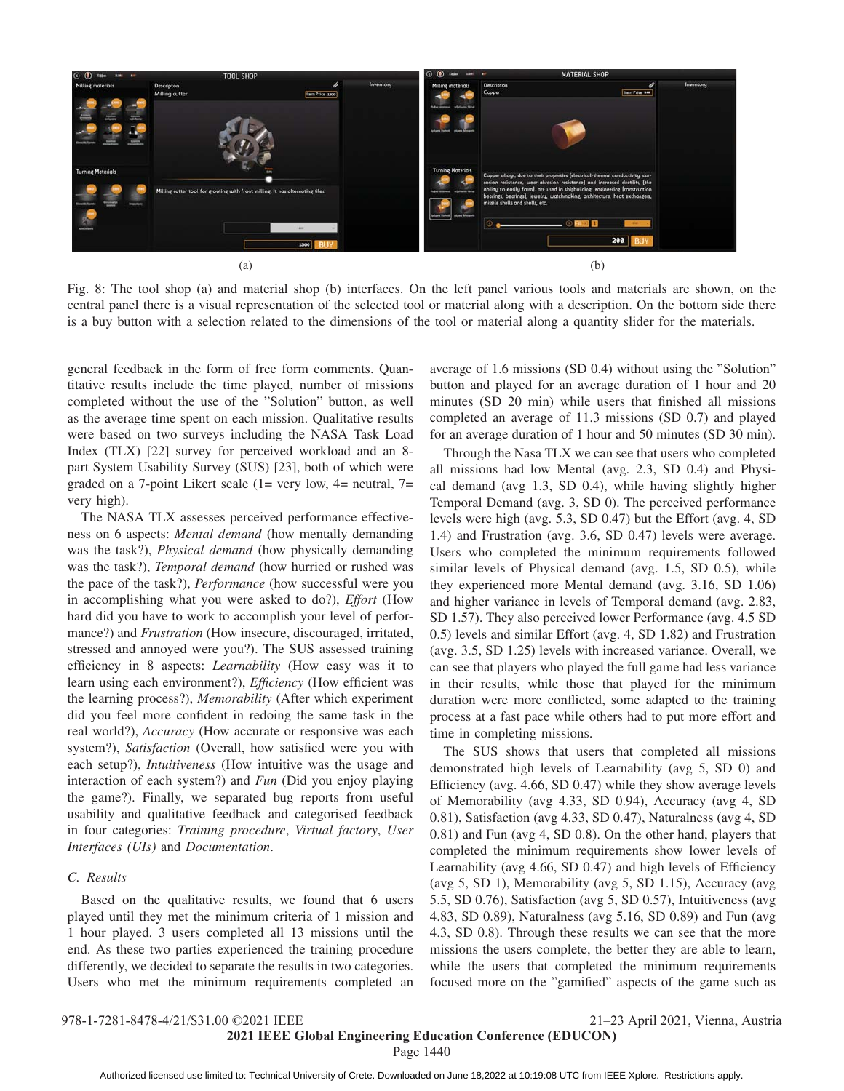

Fig. 8: The tool shop (a) and material shop (b) interfaces. On the left panel various tools and materials are shown, on the central panel there is a visual representation of the selected tool or material along with a description. On the bottom side there is a buy button with a selection related to the dimensions of the tool or material along a quantity slider for the materials.

general feedback in the form of free form comments. Quantitative results include the time played, number of missions completed without the use of the "Solution" button, as well as the average time spent on each mission. Qualitative results were based on two surveys including the NASA Task Load Index (TLX) [22] survey for perceived workload and an 8 part System Usability Survey (SUS) [23], both of which were graded on a 7-point Likert scale (1= very low, 4= neutral,  $7=$ very high).

The NASA TLX assesses perceived performance effectiveness on 6 aspects: *Mental demand* (how mentally demanding was the task?), *Physical demand* (how physically demanding was the task?), *Temporal demand* (how hurried or rushed was the pace of the task?), *Performance* (how successful were you in accomplishing what you were asked to do?), *Effort* (How hard did you have to work to accomplish your level of performance?) and *Frustration* (How insecure, discouraged, irritated, stressed and annoyed were you?). The SUS assessed training efficiency in 8 aspects: *Learnability* (How easy was it to learn using each environment?), *Efficiency* (How efficient was the learning process?), *Memorability* (After which experiment did you feel more confident in redoing the same task in the real world?), *Accuracy* (How accurate or responsive was each system?), *Satisfaction* (Overall, how satisfied were you with each setup?), *Intuitiveness* (How intuitive was the usage and interaction of each system?) and *Fun* (Did you enjoy playing the game?). Finally, we separated bug reports from useful usability and qualitative feedback and categorised feedback in four categories: *Training procedure*, *Virtual factory*, *User Interfaces (UIs)* and *Documentation*.

# *C. Results*

Based on the qualitative results, we found that 6 users played until they met the minimum criteria of 1 mission and 1 hour played. 3 users completed all 13 missions until the end. As these two parties experienced the training procedure differently, we decided to separate the results in two categories. Users who met the minimum requirements completed an average of 1.6 missions (SD 0.4) without using the "Solution" button and played for an average duration of 1 hour and 20 minutes (SD 20 min) while users that finished all missions completed an average of 11.3 missions (SD 0.7) and played for an average duration of 1 hour and 50 minutes (SD 30 min).

Through the Nasa TLX we can see that users who completed all missions had low Mental (avg. 2.3, SD 0.4) and Physical demand (avg 1.3, SD 0.4), while having slightly higher Temporal Demand (avg. 3, SD 0). The perceived performance levels were high (avg. 5.3, SD 0.47) but the Effort (avg. 4, SD 1.4) and Frustration (avg. 3.6, SD 0.47) levels were average. Users who completed the minimum requirements followed similar levels of Physical demand (avg. 1.5, SD 0.5), while they experienced more Mental demand (avg. 3.16, SD 1.06) and higher variance in levels of Temporal demand (avg. 2.83, SD 1.57). They also perceived lower Performance (avg. 4.5 SD 0.5) levels and similar Effort (avg. 4, SD 1.82) and Frustration (avg. 3.5, SD 1.25) levels with increased variance. Overall, we can see that players who played the full game had less variance in their results, while those that played for the minimum duration were more conflicted, some adapted to the training process at a fast pace while others had to put more effort and time in completing missions.

The SUS shows that users that completed all missions demonstrated high levels of Learnability (avg 5, SD 0) and Efficiency (avg. 4.66, SD 0.47) while they show average levels of Memorability (avg 4.33, SD 0.94), Accuracy (avg 4, SD 0.81), Satisfaction (avg 4.33, SD 0.47), Naturalness (avg 4, SD 0.81) and Fun (avg 4, SD 0.8). On the other hand, players that completed the minimum requirements show lower levels of Learnability (avg 4.66, SD 0.47) and high levels of Efficiency (avg 5, SD 1), Memorability (avg 5, SD 1.15), Accuracy (avg 5.5, SD 0.76), Satisfaction (avg 5, SD 0.57), Intuitiveness (avg 4.83, SD 0.89), Naturalness (avg 5.16, SD 0.89) and Fun (avg 4.3, SD 0.8). Through these results we can see that the more missions the users complete, the better they are able to learn, while the users that completed the minimum requirements focused more on the "gamified" aspects of the game such as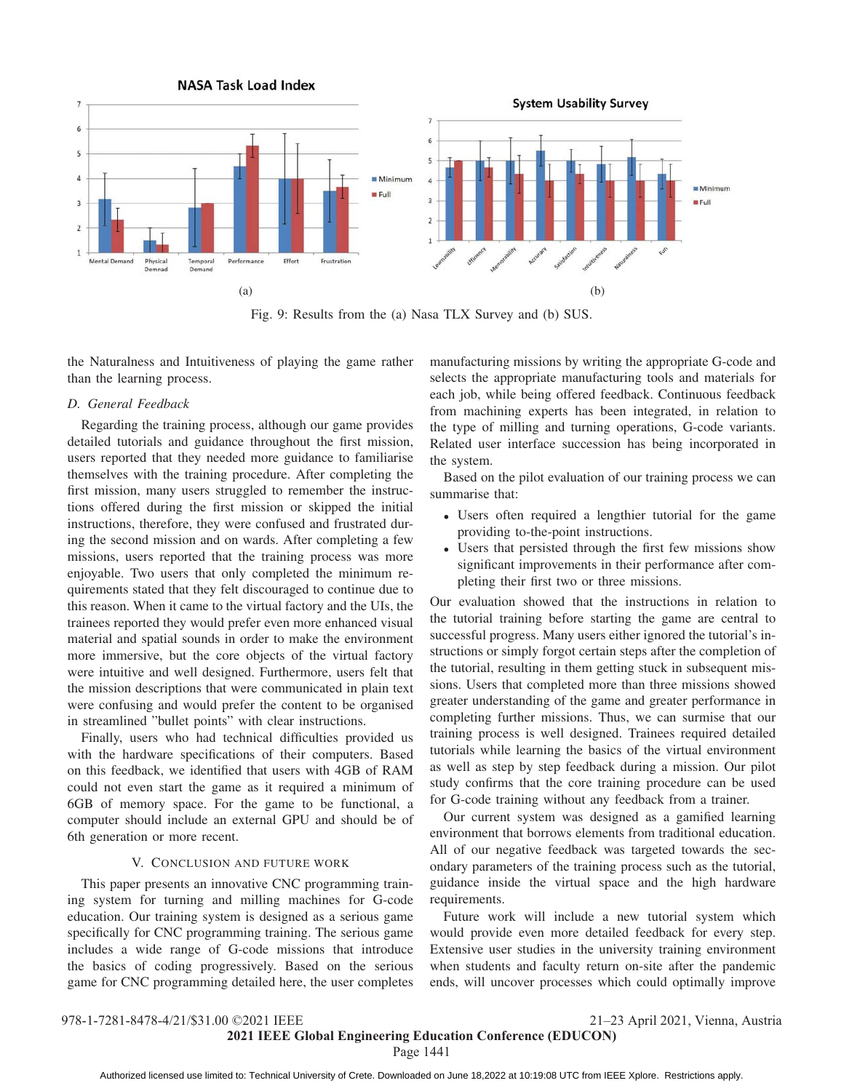

Fig. 9: Results from the (a) Nasa TLX Survey and (b) SUS.

the Naturalness and Intuitiveness of playing the game rather than the learning process.

# *D. General Feedback*

Regarding the training process, although our game provides detailed tutorials and guidance throughout the first mission, users reported that they needed more guidance to familiarise themselves with the training procedure. After completing the first mission, many users struggled to remember the instructions offered during the first mission or skipped the initial instructions, therefore, they were confused and frustrated during the second mission and on wards. After completing a few missions, users reported that the training process was more enjoyable. Two users that only completed the minimum requirements stated that they felt discouraged to continue due to this reason. When it came to the virtual factory and the UIs, the trainees reported they would prefer even more enhanced visual material and spatial sounds in order to make the environment more immersive, but the core objects of the virtual factory were intuitive and well designed. Furthermore, users felt that the mission descriptions that were communicated in plain text were confusing and would prefer the content to be organised in streamlined "bullet points" with clear instructions.

Finally, users who had technical difficulties provided us with the hardware specifications of their computers. Based on this feedback, we identified that users with 4GB of RAM could not even start the game as it required a minimum of 6GB of memory space. For the game to be functional, a computer should include an external GPU and should be of 6th generation or more recent.

# V. CONCLUSION AND FUTURE WORK

This paper presents an innovative CNC programming training system for turning and milling machines for G-code education. Our training system is designed as a serious game specifically for CNC programming training. The serious game includes a wide range of G-code missions that introduce the basics of coding progressively. Based on the serious game for CNC programming detailed here, the user completes

manufacturing missions by writing the appropriate G-code and selects the appropriate manufacturing tools and materials for each job, while being offered feedback. Continuous feedback from machining experts has been integrated, in relation to the type of milling and turning operations, G-code variants. Related user interface succession has being incorporated in the system.

Based on the pilot evaluation of our training process we can summarise that:

- Users often required a lengthier tutorial for the game providing to-the-point instructions.
- Users that persisted through the first few missions show significant improvements in their performance after completing their first two or three missions.

Our evaluation showed that the instructions in relation to the tutorial training before starting the game are central to successful progress. Many users either ignored the tutorial's instructions or simply forgot certain steps after the completion of the tutorial, resulting in them getting stuck in subsequent missions. Users that completed more than three missions showed greater understanding of the game and greater performance in completing further missions. Thus, we can surmise that our training process is well designed. Trainees required detailed tutorials while learning the basics of the virtual environment as well as step by step feedback during a mission. Our pilot study confirms that the core training procedure can be used for G-code training without any feedback from a trainer.

Our current system was designed as a gamified learning environment that borrows elements from traditional education. All of our negative feedback was targeted towards the secondary parameters of the training process such as the tutorial, guidance inside the virtual space and the high hardware requirements.

Future work will include a new tutorial system which would provide even more detailed feedback for every step. Extensive user studies in the university training environment when students and faculty return on-site after the pandemic ends, will uncover processes which could optimally improve

2021 IEEE Global Engineering Education Conference (EDUCON)

الله عليه المسابح المواس Authorized licensed use limited to: Technical University of Crete. Downloaded on June 18,2022 at 10:19:08 UTC from IEEE Xplore. Restrictions apply.